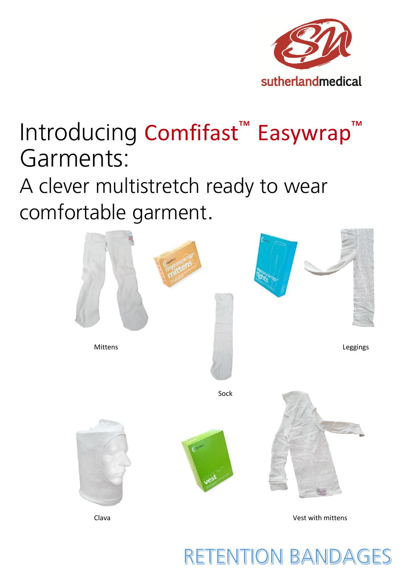

# Introducing Comfifast<sup>™</sup> Easywrap Garments:

A clever multistretch ready to wear comfortable garment.



## **RETENTION BANDAGES**